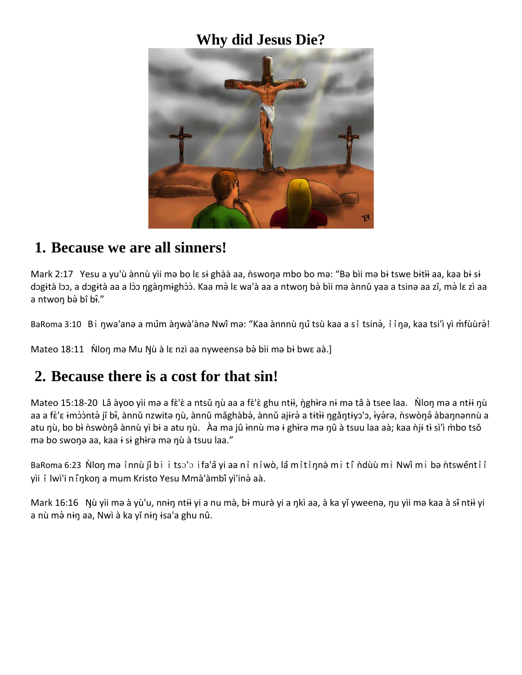#### **Why did Jesus Die?**



#### **1. Because we are all sinners!**

Mark 2:17 Yesu a yu'ù ànnù yìi mə bo lɛ sɨ ghàà aa, ǹswoŋə mbo bo mə: "Bə bìi mə bɨ tswe bɨtɨ̀i aa, kaa bɨ sɨ dɔgɨtà lɔɔ, a dɔgɨtà aa a lɔ̀ɔ ŋgàŋmɨghɔ̀ɔ̀. Kaa mə̀lɛ wa'à aa a ntwoŋ bə̀bìi mə ànnǔ yaa a tsinə aa zî, mə̀lɛ zì aa a ntwon bà bî bî."

BaRoma 3:10 Bi ŋwa'anə a mûm àŋwà'ànə Nwî mə: "Kaa ànnnù ŋû tsù kaa a si tsinə̀, i iŋə, kaa tsi'i yì m̀fùùrə̀!

Mateo 18:11 Non mə Mu Nù à lɛ nzì aa nyweensə bə̀ bìi mə bi bwɛ aà.]

### **2. Because there is a cost for that sin!**

Mateo 15:18-20 Lâ àyoo yìi mə a fɛ̀'ɛ̀ a ntsǔ ŋù aa a fɛ̀'ɛ̀ ghu ntɨɨ, ŋ̀ghɨrə nɨ mə tâ à tsee laa. Nloŋ mə a ntɨɨ ŋù aa a fɛ̀'ɛ ɨmɔ̀ɔ̀ntə̀ jî bɨ̂, ànnǔ nzwitə nุù, ànnǔ mâghàbə̀, ànnǔ ajɨrə̀ a tɨtɨi ŋgǎntɨyɔ'ɔ, ɨyə̀rə, ǹswònุอ̂ àbannənnù a atu nù, bo bì n`swòn $\hat{\theta}$  ànnù yì bɨ a atu nù. Àa ma jû ɨnnù mə ɨ ghirə mə nû à tsuu laa aà; kaa ǹjɨ tɨ sì'ì m̀bo tsǒ mə bo swonə aa, kaa i si ghìrə mə nù à tsuu laa."

BaRoma 6:23 Ñloŋ mə i`nnù jî bi i tsɔ'ɔ ifa'â yi aa ni niwò, lâ mitiŋnə̀mi ti ndùù mi Nwî mi bə ntswênti i yìi ɨ̀ lwì'i nɨ̂ŋkoŋ a mum Kristo Yesu Mmà'àmbîyì'inə̀aà.

Mark 16:16 Nù yìi mə à yù'u, nnɨŋ ntɨi yi a nu mə̀, bɨ murə̀ yi a ŋkì aa, à ka yǐ yweenə, ŋu yìi mə kaa à sɨ ntɨi yi a nù mà nin aa, Nwì à ka yǐ nin isa'a ghu nû.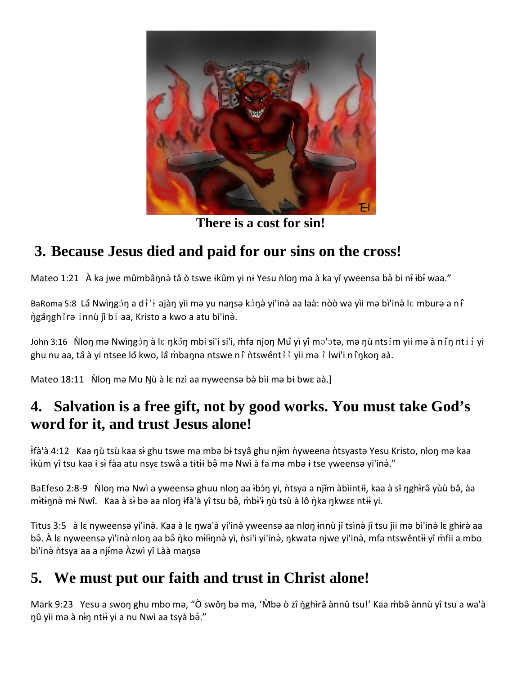

**There is a cost for sin!**

# **3. Because Jesus died and paid for our sins on the cross!**

Mateo 1:21 À ka jwe mûmbânnə̀ tâ ò tswe ikûm yi ni Yesu n\lon mə à ka yǐ yweensə bə̂ bi n<del>î</del> ibî waa."

BaRoma 5:8 Lâ Nwìŋgɔ̀ŋ a di ˈɨ ajàŋ yìi mə yu naŋsə kɔ̀ŋə̀ yi'inə̀ aa laà: nòò wa yìi mə bì'inə̀ lɛ mburə a ni ŋ̀gǎŋghɨ̀rə ɨnnù jîbɨ aa, Kristo a kwo a atu bì'inə̀.

John 3:16 Nloŋ mə Nwìŋgɔ̀ŋ à lɛ ŋkɔ̌ŋ mbi si'i si'i, m̀fa njoŋ Mû yì yî̂ mɔ'ɔtə, mə ŋù ntsɨ̀m yìi mə à niǐŋ ntɨɨ̀ yi ghu nu aa, tâ à yi ntsee lǒ kwo, lâ m̀baŋnə ntswe ni ntswênti i yii mə i lwi'i ni n͡ŋkoŋ aà.

Mateo 18:11 Non mə Mu Nù à lɛ nzì aa nyweensə bə̀ bìi mə bi bwɛ aà.]

# **4. Salvation is a free gift, not by good works. You must take God's word for it, and trust Jesus alone!**

<u>if</u>à'à 4:12 Kaa nù tsù kaa si ghu tswe mə mbə bi tsyâ ghu njim n`yweenə n`tsyastə Yesu Kristo, nlon mə kaa �kùm yî ̀ tsu kaa ɨ s�̀fàa atu nsyɛ tswə̂a tɨt�ɨ̀ bə̂mə Nwì à fa mə mbə ɨ tse yweensə yi'inə̀."

BaEfeso 2:8-9 Ñloŋ mə Nwì a yweensə ghuu nloŋ aa ɨbɔ̀ŋ yi, ǹtsya a njɨm àbìintiɨ, kaa à sɨ̃ ŋghɨrə̂ yùù bə̂, àa mitinnə mi Nwî. Kaa à si bə aa nlon ifà'à yî tsu bə̂, m̀bi<sup>l</sup>i nุù tsù à lô ǹka n̩kwɛɛ ntii yi.

Titus 3:5 à lɛ nyweensə yi'inə̀. Kaa à lɛ n̩wa'à yi'inə̀ yweensə aa nlon ɨnnù jî tsìnə̀ jî tsu jìi mə bì'inə̀ lɛ ghɨrə̀ aa bâ. À lɛ nyweensə yì'inə̀ nloŋ aa bâ ὴko milin̥nə̀ yì, ǹsi'i yi'inə̀, ŋkwatə njwe yi'inə̀, mfa ntswêntii yî m̀fii a mbo bì'inà ntsya aa a njima Àzwì yî Làà mansa

# **5. We must put our faith and trust in Christ alone!**

Mark 9:23 Yesu a swoŋ ghu mbo mə, "Ò swǒŋ bə mə, 'Mbə ò zî ŋ̀ghirə̂ ànnû tsu!' Kaa m̀bə̂ ànnù yî tsu a wa'à nû yìi mə à nin ntii yi a nu Nwì aa tsyà bâ."